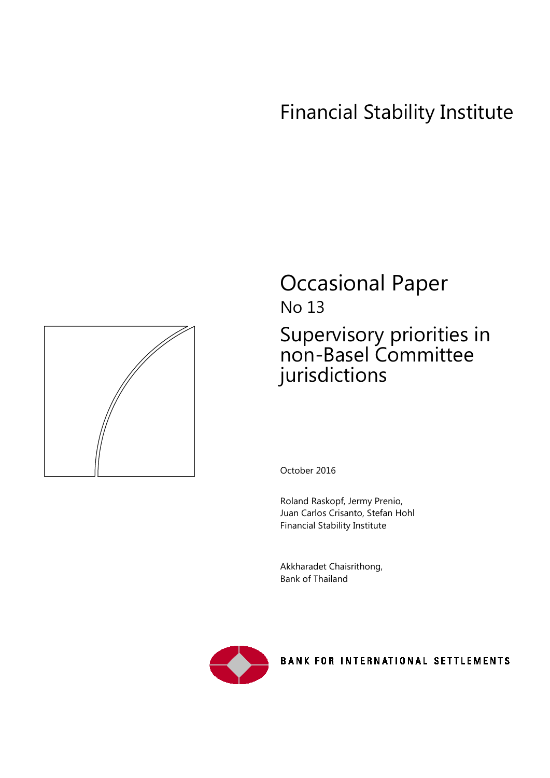# Financial Stability Institute



# Occasional Paper No 13 Supervisory priorities in non-Basel Committee jurisdictions

October 2016

Roland Raskopf, Jermy Prenio, Juan Carlos Crisanto, Stefan Hohl Financial Stability Institute

Akkharadet Chaisrithong, Bank of Thailand



**BANK FOR INTERNATIONAL SETTLEMENTS**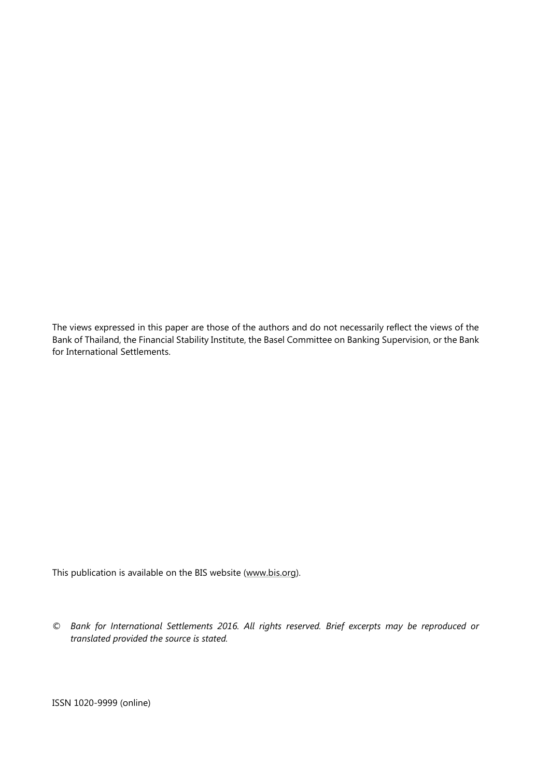The views expressed in this paper are those of the authors and do not necessarily reflect the views of the Bank of Thailand, the Financial Stability Institute, the Basel Committee on Banking Supervision, or the Bank for International Settlements.

This publication is available on the BIS website [\(www.bis.org\)](http://www.bis.org/).

*© Bank for International Settlements 2016. All rights reserved. Brief excerpts may be reproduced or translated provided the source is stated.*

ISSN 1020-9999 (online)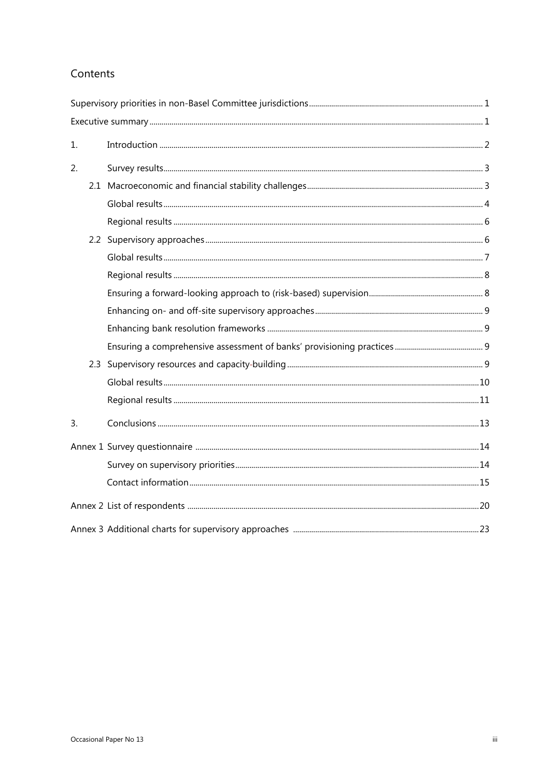# Contents

| 1. |  |
|----|--|
| 2. |  |
|    |  |
|    |  |
|    |  |
|    |  |
|    |  |
|    |  |
|    |  |
|    |  |
|    |  |
|    |  |
|    |  |
|    |  |
|    |  |
| 3. |  |
|    |  |
|    |  |
|    |  |
|    |  |
|    |  |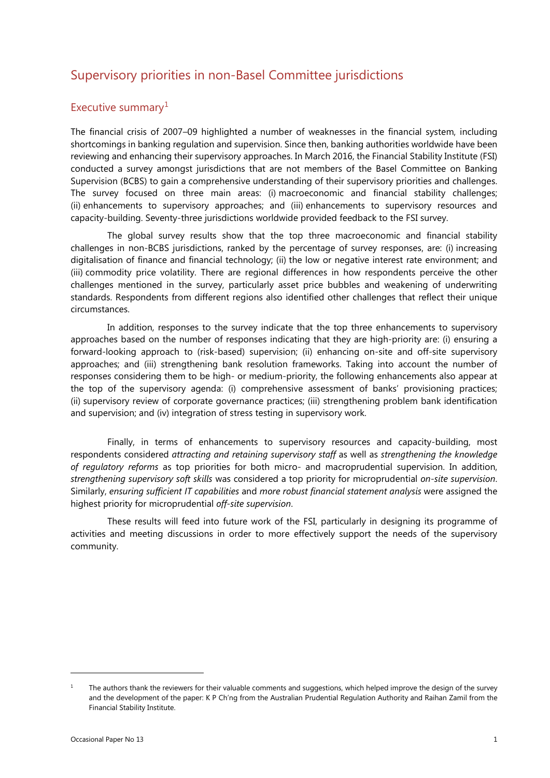# Supervisory priorities in non-Basel Committee jurisdictions

### Executive summary<sup>[1](#page-4-0)</sup>

The financial crisis of 2007–09 highlighted a number of weaknesses in the financial system, including shortcomings in banking regulation and supervision. Since then, banking authorities worldwide have been reviewing and enhancing their supervisory approaches. In March 2016, the Financial Stability Institute (FSI) conducted a survey amongst jurisdictions that are not members of the Basel Committee on Banking Supervision (BCBS) to gain a comprehensive understanding of their supervisory priorities and challenges. The survey focused on three main areas: (i) macroeconomic and financial stability challenges; (ii) enhancements to supervisory approaches; and (iii) enhancements to supervisory resources and capacity-building. Seventy-three jurisdictions worldwide provided feedback to the FSI survey.

The global survey results show that the top three macroeconomic and financial stability challenges in non-BCBS jurisdictions, ranked by the percentage of survey responses, are: (i) increasing digitalisation of finance and financial technology; (ii) the low or negative interest rate environment; and (iii) commodity price volatility. There are regional differences in how respondents perceive the other challenges mentioned in the survey, particularly asset price bubbles and weakening of underwriting standards. Respondents from different regions also identified other challenges that reflect their unique circumstances.

In addition, responses to the survey indicate that the top three enhancements to supervisory approaches based on the number of responses indicating that they are high-priority are: (i) ensuring a forward-looking approach to (risk-based) supervision; (ii) enhancing on-site and off-site supervisory approaches; and (iii) strengthening bank resolution frameworks. Taking into account the number of responses considering them to be high- or medium-priority, the following enhancements also appear at the top of the supervisory agenda: (i) comprehensive assessment of banks' provisioning practices; (ii) supervisory review of corporate governance practices; (iii) strengthening problem bank identification and supervision; and (iv) integration of stress testing in supervisory work.

Finally, in terms of enhancements to supervisory resources and capacity-building, most respondents considered *attracting and retaining supervisory staff* as well as *strengthening the knowledge of regulatory reforms* as top priorities for both micro- and macroprudential supervision. In addition, *strengthening supervisory soft skills* was considered a top priority for microprudential *on-site supervision*. Similarly, *ensuring sufficient IT capabilities* and *more robust financial statement analysis* were assigned the highest priority for microprudential *off-site supervision*.

These results will feed into future work of the FSI, particularly in designing its programme of activities and meeting discussions in order to more effectively support the needs of the supervisory community.

 $\overline{a}$ 

<span id="page-4-0"></span> $1$  The authors thank the reviewers for their valuable comments and suggestions, which helped improve the design of the survey and the development of the paper: K P Ch'ng from the Australian Prudential Regulation Authority and Raihan Zamil from the Financial Stability Institute.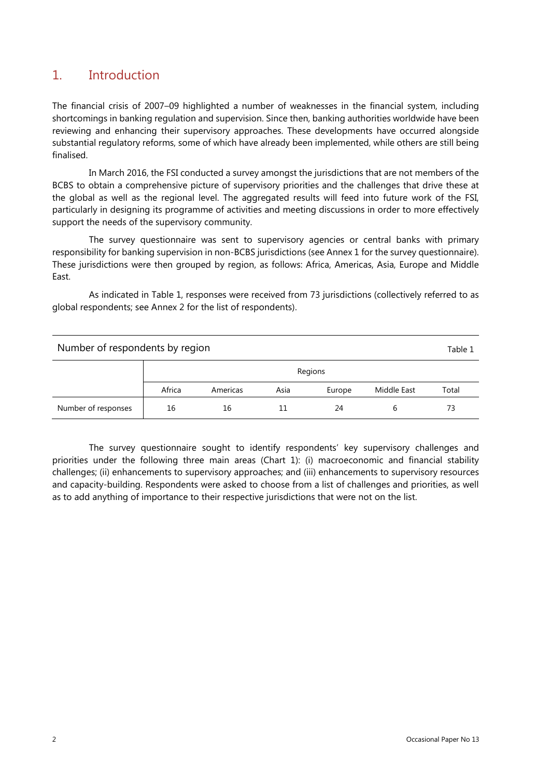# 1. Introduction

The financial crisis of 2007–09 highlighted a number of weaknesses in the financial system, including shortcomings in banking regulation and supervision. Since then, banking authorities worldwide have been reviewing and enhancing their supervisory approaches. These developments have occurred alongside substantial regulatory reforms, some of which have already been implemented, while others are still being finalised.

In March 2016, the FSI conducted a survey amongst the jurisdictions that are not members of the BCBS to obtain a comprehensive picture of supervisory priorities and the challenges that drive these at the global as well as the regional level. The aggregated results will feed into future work of the FSI, particularly in designing its programme of activities and meeting discussions in order to more effectively support the needs of the supervisory community.

The survey questionnaire was sent to supervisory agencies or central banks with primary responsibility for banking supervision in non-BCBS jurisdictions (see Annex 1 for the survey questionnaire). These jurisdictions were then grouped by region, as follows: Africa, Americas, Asia, Europe and Middle East.

As indicated in Table 1, responses were received from 73 jurisdictions (collectively referred to as global respondents; see Annex 2 for the list of respondents).

| Number of respondents by region<br>Table 1 |        |          |      |         |             |       |
|--------------------------------------------|--------|----------|------|---------|-------------|-------|
|                                            |        |          |      | Regions |             |       |
|                                            | Africa | Americas | Asia | Europe  | Middle East | Total |
| Number of responses                        | 16     | 16       | 11   | 24      | b           | 73    |

The survey questionnaire sought to identify respondents' key supervisory challenges and priorities under the following three main areas (Chart 1): (i) macroeconomic and financial stability challenges; (ii) enhancements to supervisory approaches; and (iii) enhancements to supervisory resources and capacity-building. Respondents were asked to choose from a list of challenges and priorities, as well as to add anything of importance to their respective jurisdictions that were not on the list.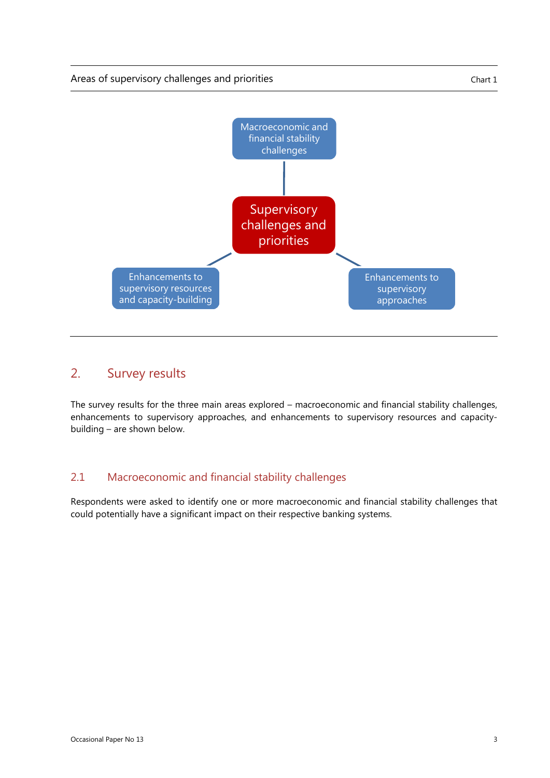

# 2. Survey results

The survey results for the three main areas explored – macroeconomic and financial stability challenges, enhancements to supervisory approaches, and enhancements to supervisory resources and capacitybuilding – are shown below.

## 2.1 Macroeconomic and financial stability challenges

Respondents were asked to identify one or more macroeconomic and financial stability challenges that could potentially have a significant impact on their respective banking systems.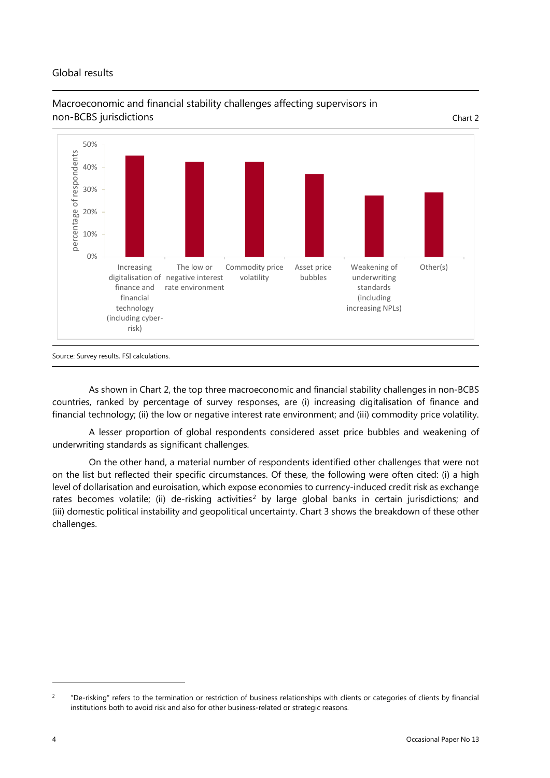#### Global results





Source: Survey results, FSI calculations.

As shown in Chart 2, the top three macroeconomic and financial stability challenges in non-BCBS countries, ranked by percentage of survey responses, are (i) increasing digitalisation of finance and financial technology; (ii) the low or negative interest rate environment; and (iii) commodity price volatility.

A lesser proportion of global respondents considered asset price bubbles and weakening of underwriting standards as significant challenges.

On the other hand, a material number of respondents identified other challenges that were not on the list but reflected their specific circumstances. Of these, the following were often cited: (i) a high level of dollarisation and euroisation, which expose economies to currency-induced credit risk as exchange rates becomes volatile; (ii) de-risking activities<sup>[2](#page-7-0)</sup> by large global banks in certain jurisdictions; and (iii) domestic political instability and geopolitical uncertainty. Chart 3 shows the breakdown of these other challenges.

1

<span id="page-7-0"></span><sup>&</sup>lt;sup>2</sup> "De-risking" refers to the termination or restriction of business relationships with clients or categories of clients by financial institutions both to avoid risk and also for other business-related or strategic reasons.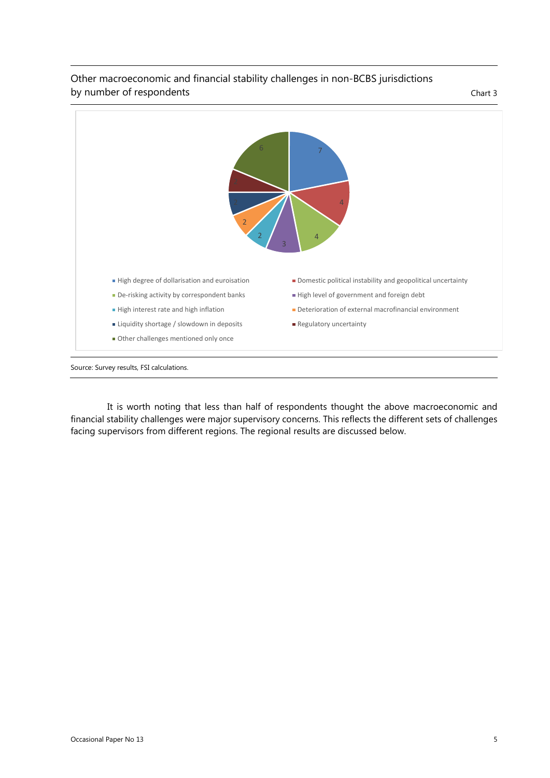

#### Other macroeconomic and financial stability challenges in non-BCBS jurisdictions by number of respondents Chart 3

Source: Survey results, FSI calculations.

It is worth noting that less than half of respondents thought the above macroeconomic and financial stability challenges were major supervisory concerns. This reflects the different sets of challenges facing supervisors from different regions. The regional results are discussed below.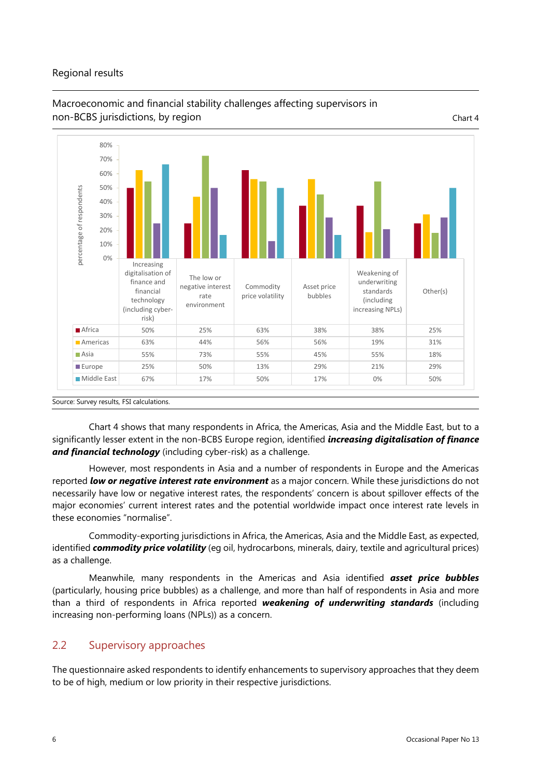#### Regional results



## Macroeconomic and financial stability challenges affecting supervisors in non-BCBS jurisdictions, by region Chart 4

Chart 4 shows that many respondents in Africa, the Americas, Asia and the Middle East, but to a significantly lesser extent in the non-BCBS Europe region, identified *increasing digitalisation of finance and financial technology* (including cyber-risk) as a challenge.

However, most respondents in Asia and a number of respondents in Europe and the Americas reported *low or negative interest rate environment* as a major concern. While these jurisdictions do not necessarily have low or negative interest rates, the respondents' concern is about spillover effects of the major economies' current interest rates and the potential worldwide impact once interest rate levels in these economies "normalise".

Commodity-exporting jurisdictions in Africa, the Americas, Asia and the Middle East, as expected, identified *commodity price volatility* (eg oil, hydrocarbons, minerals, dairy, textile and agricultural prices) as a challenge.

Meanwhile, many respondents in the Americas and Asia identified *asset price bubbles* (particularly, housing price bubbles) as a challenge, and more than half of respondents in Asia and more than a third of respondents in Africa reported *weakening of underwriting standards* (including increasing non-performing loans (NPLs)) as a concern.

# 2.2 Supervisory approaches

The questionnaire asked respondents to identify enhancements to supervisory approaches that they deem to be of high, medium or low priority in their respective jurisdictions.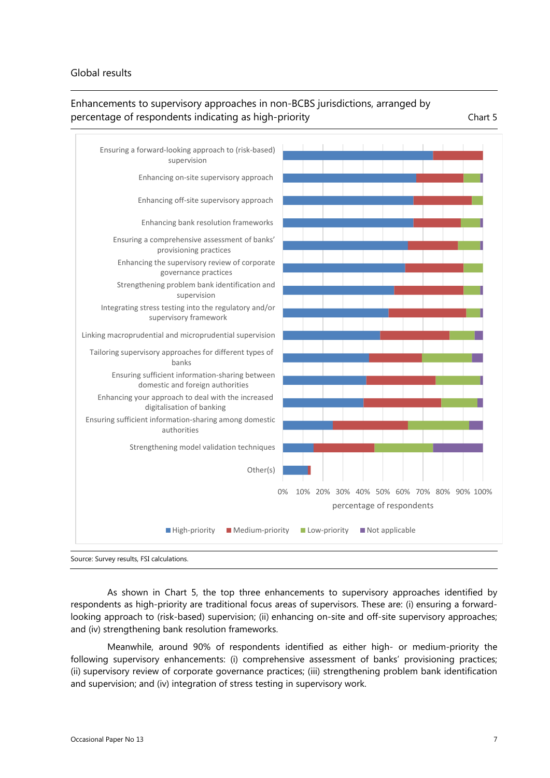#### Global results

## Enhancements to supervisory approaches in non-BCBS jurisdictions, arranged by percentage of respondents indicating as high-priority example that the chart 5



As shown in Chart 5, the top three enhancements to supervisory approaches identified by respondents as high-priority are traditional focus areas of supervisors. These are: (i) ensuring a forwardlooking approach to (risk-based) supervision; (ii) enhancing on-site and off-site supervisory approaches; and (iv) strengthening bank resolution frameworks.

Meanwhile, around 90% of respondents identified as either high- or medium-priority the following supervisory enhancements: (i) comprehensive assessment of banks' provisioning practices; (ii) supervisory review of corporate governance practices; (iii) strengthening problem bank identification and supervision; and (iv) integration of stress testing in supervisory work.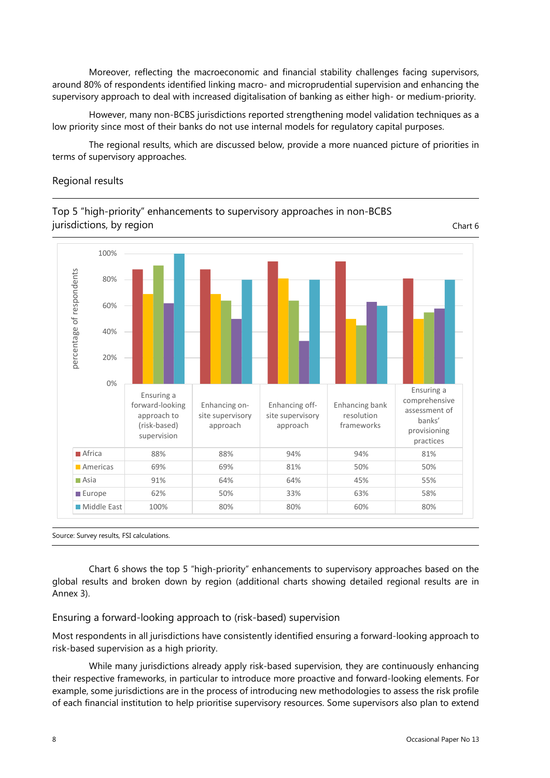Moreover, reflecting the macroeconomic and financial stability challenges facing supervisors, around 80% of respondents identified linking macro- and microprudential supervision and enhancing the supervisory approach to deal with increased digitalisation of banking as either high- or medium-priority.

However, many non-BCBS jurisdictions reported strengthening model validation techniques as a low priority since most of their banks do not use internal models for regulatory capital purposes.

The regional results, which are discussed below, provide a more nuanced picture of priorities in terms of supervisory approaches.

#### Regional results



Top 5 "high-priority" enhancements to supervisory approaches in non-BCBS

Source: Survey results, FSI calculations.

Chart 6 shows the top 5 "high-priority" enhancements to supervisory approaches based on the global results and broken down by region (additional charts showing detailed regional results are in Annex 3).

#### Ensuring a forward-looking approach to (risk-based) supervision

Most respondents in all jurisdictions have consistently identified ensuring a forward-looking approach to risk-based supervision as a high priority.

While many jurisdictions already apply risk-based supervision, they are continuously enhancing their respective frameworks, in particular to introduce more proactive and forward-looking elements. For example, some jurisdictions are in the process of introducing new methodologies to assess the risk profile of each financial institution to help prioritise supervisory resources. Some supervisors also plan to extend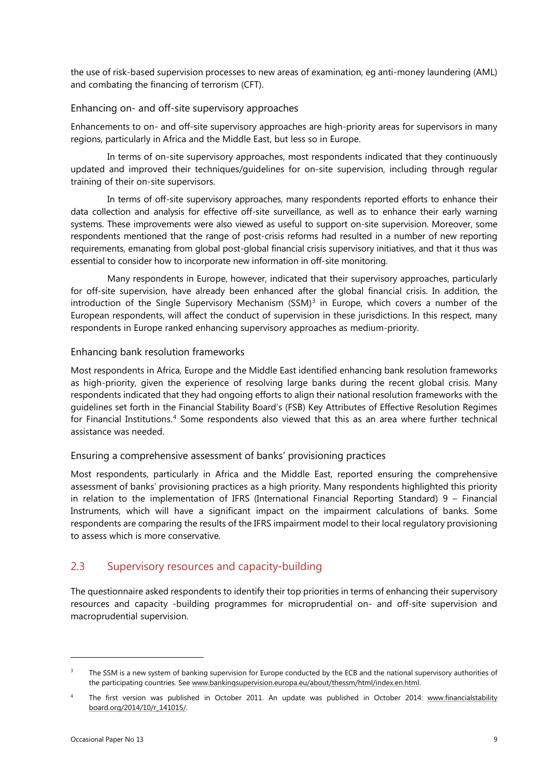the use of risk-based supervision processes to new areas of examination, eg anti-money laundering (AML) and combating the financing of terrorism (CFT).

#### Enhancing on- and off-site supervisory approaches

Enhancements to on- and off-site supervisory approaches are high-priority areas for supervisors in many regions, particularly in Africa and the Middle East, but less so in Europe.

In terms of on-site supervisory approaches, most respondents indicated that they continuously updated and improved their techniques/guidelines for on-site supervision, including through regular training of their on-site supervisors.

In terms of off-site supervisory approaches, many respondents reported efforts to enhance their data collection and analysis for effective off-site surveillance, as well as to enhance their early warning systems. These improvements were also viewed as useful to support on-site supervision. Moreover, some respondents mentioned that the range of post-crisis reforms had resulted in a number of new reporting requirements, emanating from global post-global financial crisis supervisory initiatives, and that it thus was essential to consider how to incorporate new information in off-site monitoring.

Many respondents in Europe, however, indicated that their supervisory approaches, particularly for off-site supervision, have already been enhanced after the global financial crisis. In addition, the introduction of the Single Supervisory Mechanism  $(SSM)^3$  $(SSM)^3$  in Europe, which covers a number of the European respondents, will affect the conduct of supervision in these jurisdictions. In this respect, many respondents in Europe ranked enhancing supervisory approaches as medium-priority.

#### Enhancing bank resolution frameworks

Most respondents in Africa, Europe and the Middle East identified enhancing bank resolution frameworks as high-priority, given the experience of resolving large banks during the recent global crisis. Many respondents indicated that they had ongoing efforts to align their national resolution frameworks with the guidelines set forth in the Financial Stability Board's (FSB) Key Attributes of Effective Resolution Regimes for Financial Institutions. [4](#page-12-1) Some respondents also viewed that this as an area where further technical assistance was needed.

#### Ensuring a comprehensive assessment of banks' provisioning practices

Most respondents, particularly in Africa and the Middle East, reported ensuring the comprehensive assessment of banks' provisioning practices as a high priority. Many respondents highlighted this priority in relation to the implementation of IFRS (International Financial Reporting Standard) 9 – Financial Instruments, which will have a significant impact on the impairment calculations of banks. Some respondents are comparing the results of the IFRS impairment model to their local regulatory provisioning to assess which is more conservative.

### 2.3 Supervisory resources and capacity-building

The questionnaire asked respondents to identify their top priorities in terms of enhancing their supervisory resources and capacity -building programmes for microprudential on- and off-site supervision and macroprudential supervision.

1

<span id="page-12-0"></span><sup>&</sup>lt;sup>3</sup> The SSM is a new system of banking supervision for Europe conducted by the ECB and the national supervisory authorities of the participating countries. See [www.bankingsupervision.europa.eu/about/thessm/html/index.en.html.](http://www.bankingsupervision.europa.eu/about/thessm/html/index.en.html)

<span id="page-12-1"></span><sup>4</sup> The first version was published in October 2011. An update was published in October 2014: [www.financialstability](http://www.financialstabilityboard.org/2014/10/r_141015/) [board.org/2014/10/r\\_141015/.](http://www.financialstabilityboard.org/2014/10/r_141015/)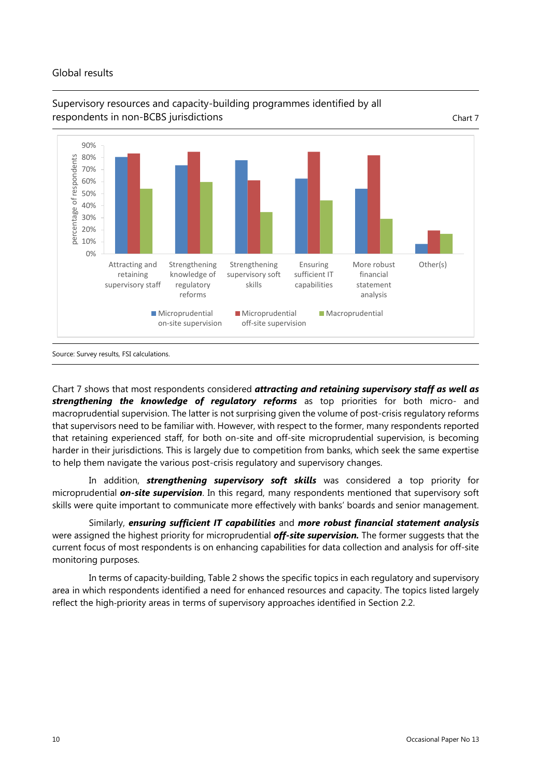#### Global results



## Supervisory resources and capacity-building programmes identified by all respondents in non-BCBS jurisdictions and chart 7 (Chart 7) and Chart 7 (Chart 7)

Chart 7 shows that most respondents considered *attracting and retaining supervisory staff as well as strengthening the knowledge of regulatory reforms* as top priorities for both micro- and macroprudential supervision. The latter is not surprising given the volume of post-crisis regulatory reforms that supervisors need to be familiar with. However, with respect to the former, many respondents reported that retaining experienced staff, for both on-site and off-site microprudential supervision, is becoming harder in their jurisdictions. This is largely due to competition from banks, which seek the same expertise to help them navigate the various post-crisis regulatory and supervisory changes.

In addition, *strengthening supervisory soft skills* was considered a top priority for microprudential *on-site supervision*. In this regard, many respondents mentioned that supervisory soft skills were quite important to communicate more effectively with banks' boards and senior management.

Similarly, *ensuring sufficient IT capabilities* and *more robust financial statement analysis* were assigned the highest priority for microprudential *off-site supervision.* The former suggests that the current focus of most respondents is on enhancing capabilities for data collection and analysis for off-site monitoring purposes.

In terms of capacity-building, Table 2 shows the specific topics in each regulatory and supervisory area in which respondents identified a need for enhanced resources and capacity. The topics listed largely reflect the high-priority areas in terms of supervisory approaches identified in Section 2.2.

Source: Survey results, FSI calculations.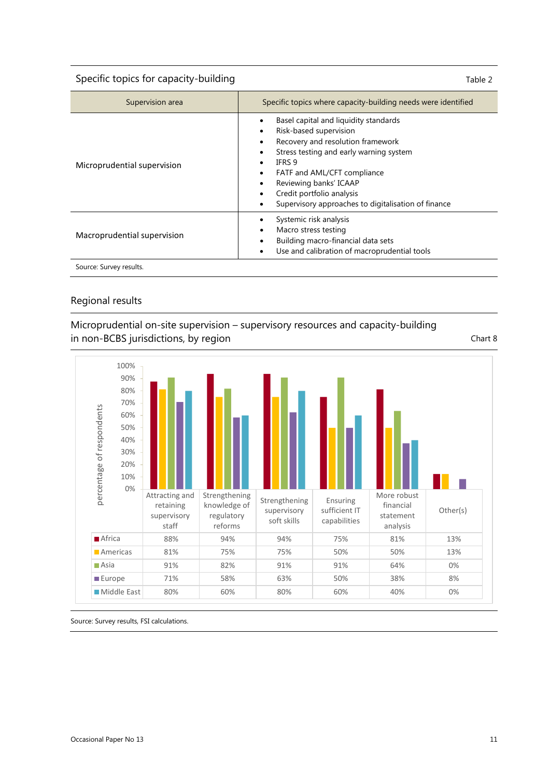Specific topics for capacity-building Specific topics for capacity-building Table 2

| Supervision area            | Specific topics where capacity-building needs were identified                                                                                                                                                                                                                                                         |
|-----------------------------|-----------------------------------------------------------------------------------------------------------------------------------------------------------------------------------------------------------------------------------------------------------------------------------------------------------------------|
| Microprudential supervision | Basel capital and liquidity standards<br>Risk-based supervision<br>٠<br>Recovery and resolution framework<br>٠<br>Stress testing and early warning system<br>IFRS 9<br>FATF and AML/CFT compliance<br>٠<br>Reviewing banks' ICAAP<br>Credit portfolio analysis<br>Supervisory approaches to digitalisation of finance |
| Macroprudential supervision | Systemic risk analysis<br>Macro stress testing<br>٠<br>Building macro-financial data sets<br>Use and calibration of macroprudential tools                                                                                                                                                                             |
| Source: Survey results.     |                                                                                                                                                                                                                                                                                                                       |

#### Regional results

Microprudential on-site supervision – supervisory resources and capacity-building in non-BCBS jurisdictions, by region Chart 8

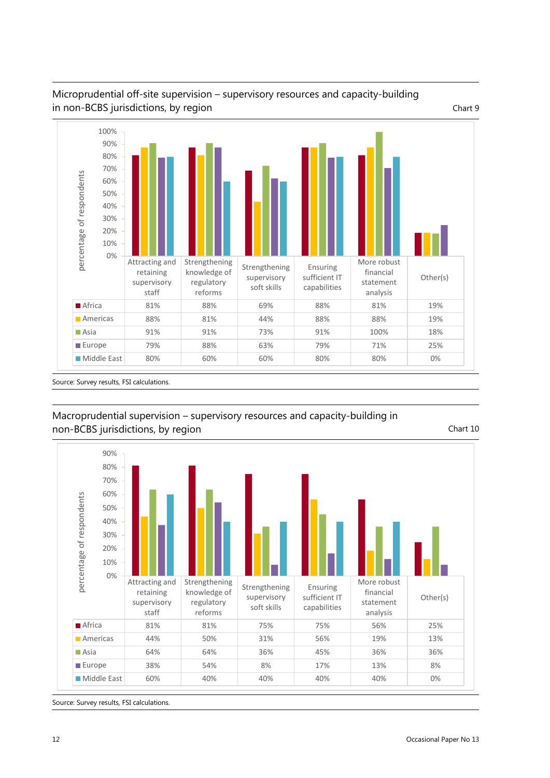

## Microprudential off-site supervision – supervisory resources and capacity-building in non-BCBS jurisdictions, by region Chart 9

## Macroprudential supervision – supervisory resources and capacity-building in non-BCBS jurisdictions, by region Chart 10



Source: Survey results, FSI calculations.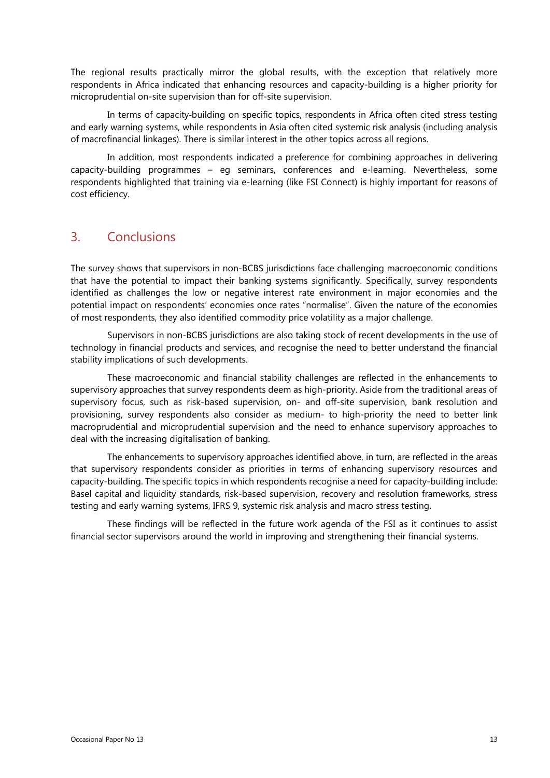The regional results practically mirror the global results, with the exception that relatively more respondents in Africa indicated that enhancing resources and capacity-building is a higher priority for microprudential on-site supervision than for off-site supervision.

In terms of capacity-building on specific topics, respondents in Africa often cited stress testing and early warning systems, while respondents in Asia often cited systemic risk analysis (including analysis of macrofinancial linkages). There is similar interest in the other topics across all regions.

In addition, most respondents indicated a preference for combining approaches in delivering capacity-building programmes – eg seminars, conferences and e-learning. Nevertheless, some respondents highlighted that training via e-learning (like FSI Connect) is highly important for reasons of cost efficiency.

# 3. Conclusions

The survey shows that supervisors in non-BCBS jurisdictions face challenging macroeconomic conditions that have the potential to impact their banking systems significantly. Specifically, survey respondents identified as challenges the low or negative interest rate environment in major economies and the potential impact on respondents' economies once rates "normalise". Given the nature of the economies of most respondents, they also identified commodity price volatility as a major challenge.

Supervisors in non-BCBS jurisdictions are also taking stock of recent developments in the use of technology in financial products and services, and recognise the need to better understand the financial stability implications of such developments.

These macroeconomic and financial stability challenges are reflected in the enhancements to supervisory approaches that survey respondents deem as high-priority. Aside from the traditional areas of supervisory focus, such as risk-based supervision, on- and off-site supervision, bank resolution and provisioning, survey respondents also consider as medium- to high-priority the need to better link macroprudential and microprudential supervision and the need to enhance supervisory approaches to deal with the increasing digitalisation of banking.

The enhancements to supervisory approaches identified above, in turn, are reflected in the areas that supervisory respondents consider as priorities in terms of enhancing supervisory resources and capacity-building. The specific topics in which respondents recognise a need for capacity-building include: Basel capital and liquidity standards, risk-based supervision, recovery and resolution frameworks, stress testing and early warning systems, IFRS 9, systemic risk analysis and macro stress testing.

These findings will be reflected in the future work agenda of the FSI as it continues to assist financial sector supervisors around the world in improving and strengthening their financial systems.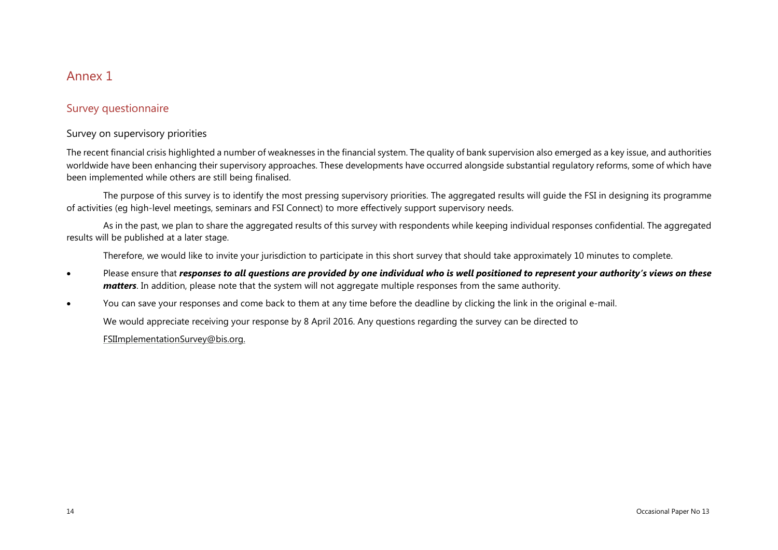## Annex 1

## Survey questionnaire

#### Survey on supervisory priorities

The recent financial crisis highlighted a number of weaknesses in the financial system. The quality of bank supervision also emerged as a key issue, and authorities worldwide have been enhancing their supervisory approaches. These developments have occurred alongside substantial regulatory reforms, some of which have been implemented while others are still being finalised.

The purpose of this survey is to identify the most pressing supervisory priorities. The aggregated results will guide the FSI in designing its programme of activities (eg high-level meetings, seminars and FSI Connect) to more effectively support supervisory needs.

As in the past, we plan to share the aggregated results of this survey with respondents while keeping individual responses confidential. The aggregated results will be published at a later stage.

Therefore, we would like to invite your jurisdiction to participate in this short survey that should take approximately 10 minutes to complete.

- Please ensure that *responses to all questions are provided by one individual who is well positioned to represent your authority's views on these matters*. In addition, please note that the system will not aggregate multiple responses from the same authority.
- You can save your responses and come back to them at any time before the deadline by clicking the link in the original e-mail.

We would appreciate receiving your response by 8 April 2016. Any questions regarding the survey can be directed to

[FSIImplementationSurvey@bis.org.](mailto:FSIImplementationSurvey@bis.org)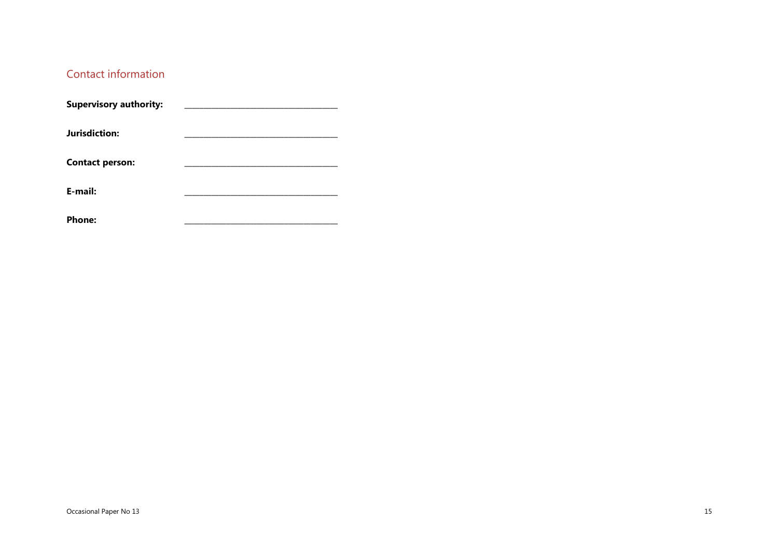## Contact information

| <b>Supervisory authority:</b> |  |
|-------------------------------|--|
| Jurisdiction:                 |  |
| <b>Contact person:</b>        |  |
| E-mail:                       |  |
| <b>Phone:</b>                 |  |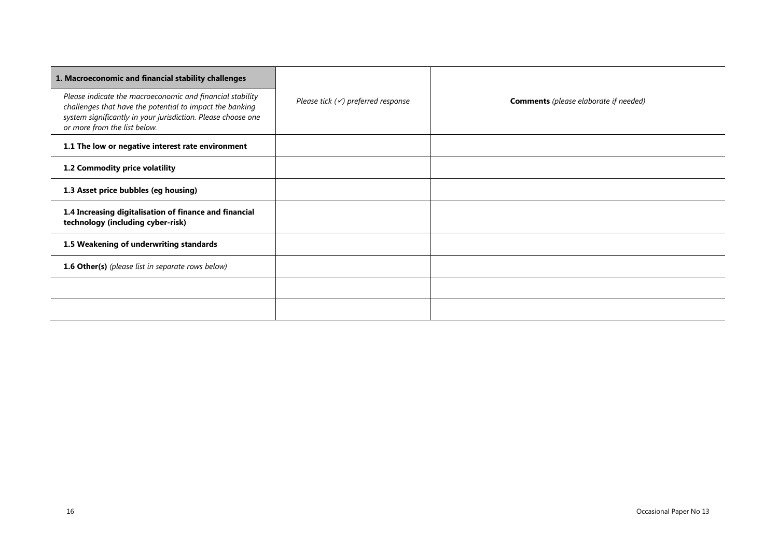| 1. Macroeconomic and financial stability challenges                                                                                                                                                                   |                                               |                                              |  |
|-----------------------------------------------------------------------------------------------------------------------------------------------------------------------------------------------------------------------|-----------------------------------------------|----------------------------------------------|--|
| Please indicate the macroeconomic and financial stability<br>challenges that have the potential to impact the banking<br>system significantly in your jurisdiction. Please choose one<br>or more from the list below. | Please tick $(\checkmark)$ preferred response | <b>Comments</b> (please elaborate if needed) |  |
| 1.1 The low or negative interest rate environment                                                                                                                                                                     |                                               |                                              |  |
| 1.2 Commodity price volatility                                                                                                                                                                                        |                                               |                                              |  |
| 1.3 Asset price bubbles (eg housing)                                                                                                                                                                                  |                                               |                                              |  |
| 1.4 Increasing digitalisation of finance and financial<br>technology (including cyber-risk)                                                                                                                           |                                               |                                              |  |
| 1.5 Weakening of underwriting standards                                                                                                                                                                               |                                               |                                              |  |
| 1.6 Other(s) (please list in separate rows below)                                                                                                                                                                     |                                               |                                              |  |
|                                                                                                                                                                                                                       |                                               |                                              |  |
|                                                                                                                                                                                                                       |                                               |                                              |  |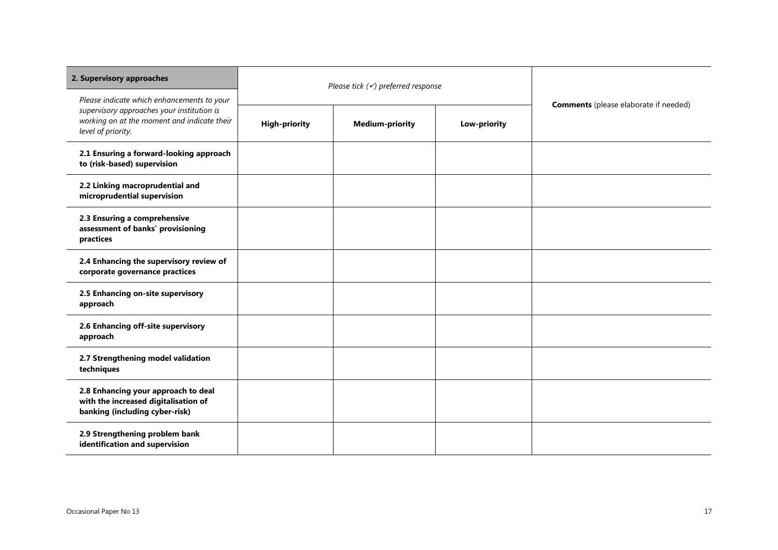| 2. Supervisory approaches                                                                                       | Please tick $(\checkmark)$ preferred response |                        |                                              |  |
|-----------------------------------------------------------------------------------------------------------------|-----------------------------------------------|------------------------|----------------------------------------------|--|
| Please indicate which enhancements to your                                                                      |                                               |                        | <b>Comments</b> (please elaborate if needed) |  |
| supervisory approaches your institution is<br>working on at the moment and indicate their<br>level of priority. | <b>High-priority</b>                          | <b>Medium-priority</b> | Low-priority                                 |  |
| 2.1 Ensuring a forward-looking approach<br>to (risk-based) supervision                                          |                                               |                        |                                              |  |
| 2.2 Linking macroprudential and<br>microprudential supervision                                                  |                                               |                        |                                              |  |
| 2.3 Ensuring a comprehensive<br>assessment of banks' provisioning<br>practices                                  |                                               |                        |                                              |  |
| 2.4 Enhancing the supervisory review of<br>corporate governance practices                                       |                                               |                        |                                              |  |
| 2.5 Enhancing on-site supervisory<br>approach                                                                   |                                               |                        |                                              |  |
| 2.6 Enhancing off-site supervisory<br>approach                                                                  |                                               |                        |                                              |  |
| 2.7 Strengthening model validation<br>techniques                                                                |                                               |                        |                                              |  |
| 2.8 Enhancing your approach to deal<br>with the increased digitalisation of<br>banking (including cyber-risk)   |                                               |                        |                                              |  |
| 2.9 Strengthening problem bank<br>identification and supervision                                                |                                               |                        |                                              |  |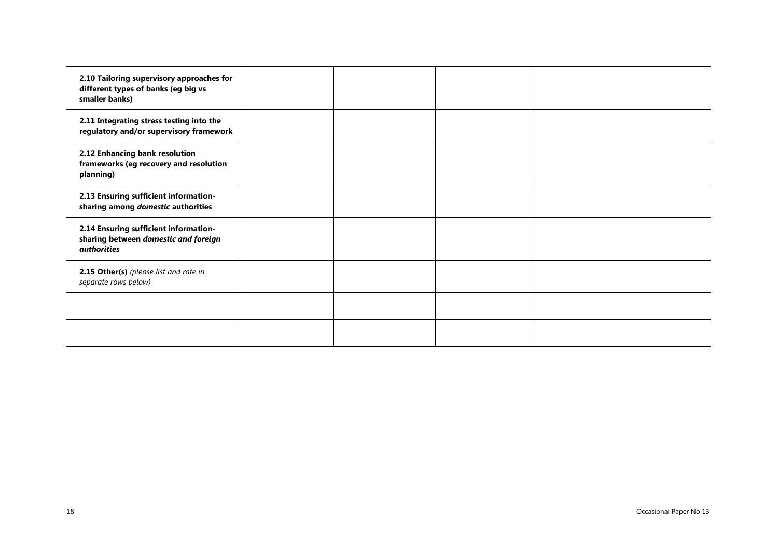| 2.10 Tailoring supervisory approaches for<br>different types of banks (eg big vs<br>smaller banks)  |  |  |
|-----------------------------------------------------------------------------------------------------|--|--|
| 2.11 Integrating stress testing into the<br>regulatory and/or supervisory framework                 |  |  |
| 2.12 Enhancing bank resolution<br>frameworks (eg recovery and resolution<br>planning)               |  |  |
| 2.13 Ensuring sufficient information-<br>sharing among domestic authorities                         |  |  |
| 2.14 Ensuring sufficient information-<br>sharing between domestic and foreign<br><i>authorities</i> |  |  |
| 2.15 Other(s) (please list and rate in<br>separate rows below)                                      |  |  |
|                                                                                                     |  |  |
|                                                                                                     |  |  |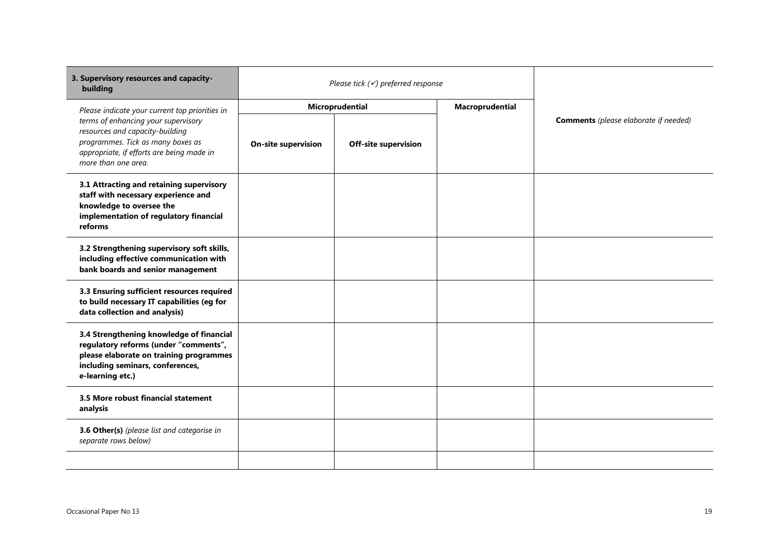| 3. Supervisory resources and capacity-<br>building                                                                                                                                   | Please tick $(\checkmark)$ preferred response |                             |                 |                                              |  |
|--------------------------------------------------------------------------------------------------------------------------------------------------------------------------------------|-----------------------------------------------|-----------------------------|-----------------|----------------------------------------------|--|
| Please indicate your current top priorities in                                                                                                                                       |                                               | Microprudential             | Macroprudential |                                              |  |
| terms of enhancing your supervisory<br>resources and capacity-building<br>programmes. Tick as many boxes as<br>appropriate, if efforts are being made in<br>more than one area.      | <b>On-site supervision</b>                    | <b>Off-site supervision</b> |                 | <b>Comments</b> (please elaborate if needed) |  |
| 3.1 Attracting and retaining supervisory<br>staff with necessary experience and<br>knowledge to oversee the<br>implementation of regulatory financial<br>reforms                     |                                               |                             |                 |                                              |  |
| 3.2 Strengthening supervisory soft skills,<br>including effective communication with<br>bank boards and senior management                                                            |                                               |                             |                 |                                              |  |
| 3.3 Ensuring sufficient resources required<br>to build necessary IT capabilities (eg for<br>data collection and analysis)                                                            |                                               |                             |                 |                                              |  |
| 3.4 Strengthening knowledge of financial<br>regulatory reforms (under "comments",<br>please elaborate on training programmes<br>including seminars, conferences,<br>e-learning etc.) |                                               |                             |                 |                                              |  |
| 3.5 More robust financial statement<br>analysis                                                                                                                                      |                                               |                             |                 |                                              |  |
| 3.6 Other(s) (please list and categorise in<br>separate rows below)                                                                                                                  |                                               |                             |                 |                                              |  |
|                                                                                                                                                                                      |                                               |                             |                 |                                              |  |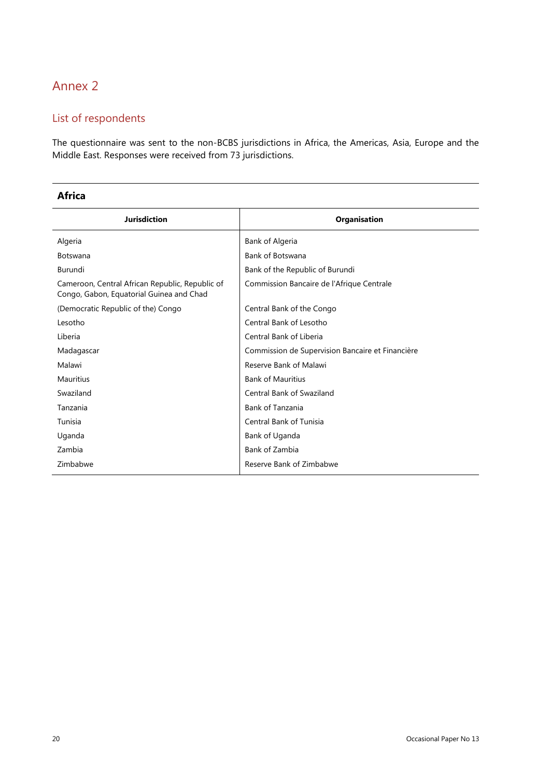# Annex 2

# List of respondents

The questionnaire was sent to the non-BCBS jurisdictions in Africa, the Americas, Asia, Europe and the Middle East. Responses were received from 73 jurisdictions.

#### **Africa**

| <b>Jurisdiction</b>                                                                         | <b>Organisation</b>                              |
|---------------------------------------------------------------------------------------------|--------------------------------------------------|
| Algeria                                                                                     | Bank of Algeria                                  |
| <b>Botswana</b>                                                                             | Bank of Botswana                                 |
| Burundi                                                                                     | Bank of the Republic of Burundi                  |
| Cameroon, Central African Republic, Republic of<br>Congo, Gabon, Equatorial Guinea and Chad | Commission Bancaire de l'Afrique Centrale        |
| (Democratic Republic of the) Congo                                                          | Central Bank of the Congo                        |
| Lesotho                                                                                     | Central Bank of Lesotho                          |
| Liberia                                                                                     | Central Bank of Liberia                          |
| Madagascar                                                                                  | Commission de Supervision Bancaire et Financière |
| Malawi                                                                                      | Reserve Bank of Malawi                           |
| <b>Mauritius</b>                                                                            | <b>Bank of Mauritius</b>                         |
| Swaziland                                                                                   | <b>Central Bank of Swaziland</b>                 |
| Tanzania                                                                                    | <b>Bank of Tanzania</b>                          |
| Tunisia                                                                                     | <b>Central Bank of Tunisia</b>                   |
| Uganda                                                                                      | Bank of Uganda                                   |
| Zambia                                                                                      | Bank of Zambia                                   |
| Zimbabwe                                                                                    | Reserve Bank of Zimbabwe                         |
|                                                                                             |                                                  |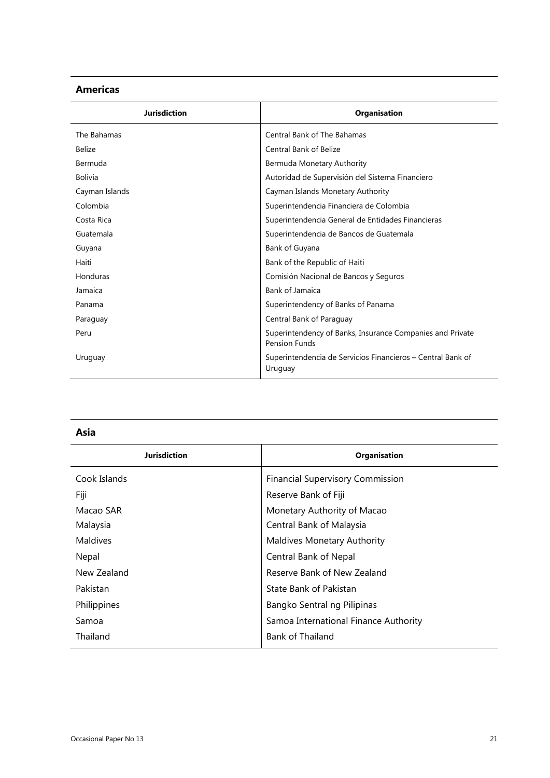#### **Americas**

| <b>Jurisdiction</b> | <b>Organisation</b>                                                               |
|---------------------|-----------------------------------------------------------------------------------|
| The Bahamas         | <b>Central Bank of The Bahamas</b>                                                |
| <b>Belize</b>       | <b>Central Bank of Belize</b>                                                     |
| Bermuda             | Bermuda Monetary Authority                                                        |
| <b>Bolivia</b>      | Autoridad de Supervisión del Sistema Financiero                                   |
| Cayman Islands      | Cayman Islands Monetary Authority                                                 |
| Colombia            | Superintendencia Financiera de Colombia                                           |
| Costa Rica          | Superintendencia General de Entidades Financieras                                 |
| Guatemala           | Superintendencia de Bancos de Guatemala                                           |
| Guyana              | Bank of Guyana                                                                    |
| Haiti               | Bank of the Republic of Haiti                                                     |
| Honduras            | Comisión Nacional de Bancos y Seguros                                             |
| Jamaica             | <b>Bank of Jamaica</b>                                                            |
| Panama              | Superintendency of Banks of Panama                                                |
| Paraguay            | Central Bank of Paraguay                                                          |
| Peru                | Superintendency of Banks, Insurance Companies and Private<br><b>Pension Funds</b> |
| Uruguay             | Superintendencia de Servicios Financieros - Central Bank of<br>Uruguay            |

| ۰.<br>v | . .<br>. . |
|---------|------------|
|         |            |

| Jurisdiction    | <b>Organisation</b>                     |
|-----------------|-----------------------------------------|
| Cook Islands    | <b>Financial Supervisory Commission</b> |
| Fiji            | Reserve Bank of Fiji                    |
| Macao SAR       | Monetary Authority of Macao             |
| Malaysia        | Central Bank of Malaysia                |
| <b>Maldives</b> | <b>Maldives Monetary Authority</b>      |
| Nepal           | Central Bank of Nepal                   |
| New Zealand     | Reserve Bank of New Zealand             |
| Pakistan        | State Bank of Pakistan                  |
| Philippines     | Bangko Sentral ng Pilipinas             |
| Samoa           | Samoa International Finance Authority   |
| Thailand        | <b>Bank of Thailand</b>                 |
|                 |                                         |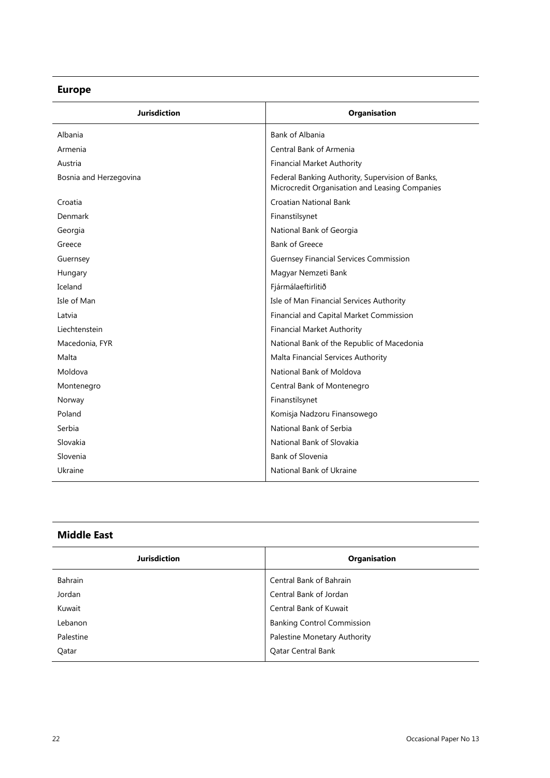# **Europe**

|                        | Bank of Albania                                                                                    |
|------------------------|----------------------------------------------------------------------------------------------------|
| Albania                |                                                                                                    |
| Armenia                | Central Bank of Armenia                                                                            |
| Austria                | <b>Financial Market Authority</b>                                                                  |
| Bosnia and Herzegovina | Federal Banking Authority, Supervision of Banks,<br>Microcredit Organisation and Leasing Companies |
| Croatia                | Croatian National Bank                                                                             |
| Denmark                | Finanstilsynet                                                                                     |
| Georgia                | National Bank of Georgia                                                                           |
| Greece                 | <b>Bank of Greece</b>                                                                              |
| Guernsey               | <b>Guernsey Financial Services Commission</b>                                                      |
| Hungary                | Magyar Nemzeti Bank                                                                                |
| Iceland                | Fjármálaeftirlitið                                                                                 |
| Isle of Man            | Isle of Man Financial Services Authority                                                           |
| Latvia                 | Financial and Capital Market Commission                                                            |
| Liechtenstein          | <b>Financial Market Authority</b>                                                                  |
| Macedonia, FYR         | National Bank of the Republic of Macedonia                                                         |
| Malta                  | Malta Financial Services Authority                                                                 |
| Moldova                | National Bank of Moldova                                                                           |
| Montenegro             | Central Bank of Montenegro                                                                         |
| Norway                 | Finanstilsynet                                                                                     |
| Poland                 | Komisja Nadzoru Finansowego                                                                        |
| Serbia                 | National Bank of Serbia                                                                            |
| Slovakia               | National Bank of Slovakia                                                                          |
| Slovenia               | <b>Bank of Slovenia</b>                                                                            |
| Ukraine                | National Bank of Ukraine                                                                           |

# **Middle East**

| <b>Jurisdiction</b> | Organisation                      |
|---------------------|-----------------------------------|
| Bahrain             | Central Bank of Bahrain           |
| Jordan              | Central Bank of Jordan            |
| Kuwait              | <b>Central Bank of Kuwait</b>     |
| Lebanon             | <b>Banking Control Commission</b> |
| Palestine           | Palestine Monetary Authority      |
| Oatar               | <b>Oatar Central Bank</b>         |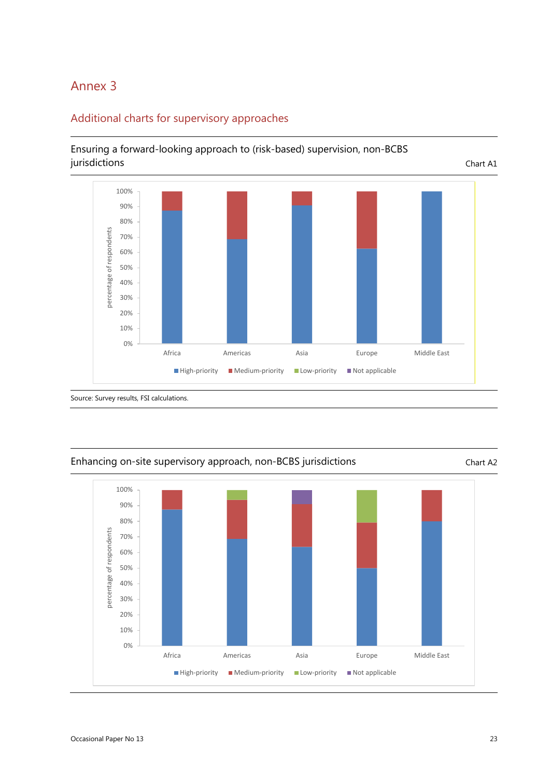# Annex 3



## Additional charts for supervisory approaches

Ensuring a forward-looking approach to (risk-based) supervision, non-BCBS



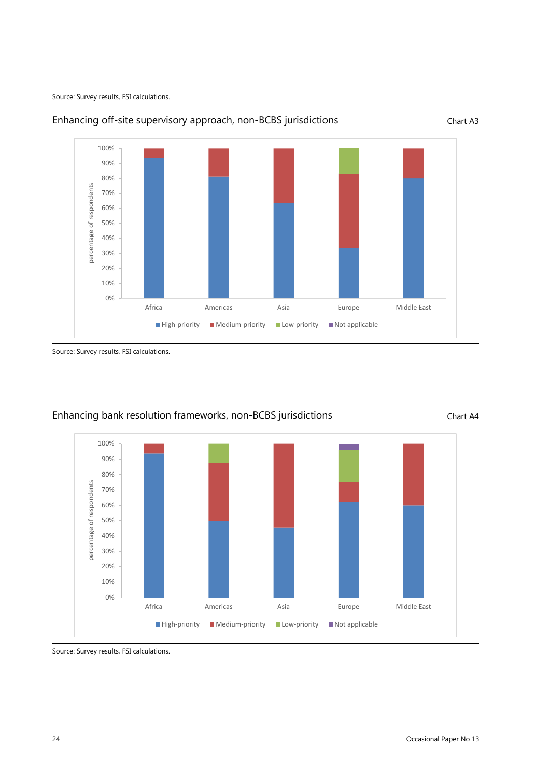



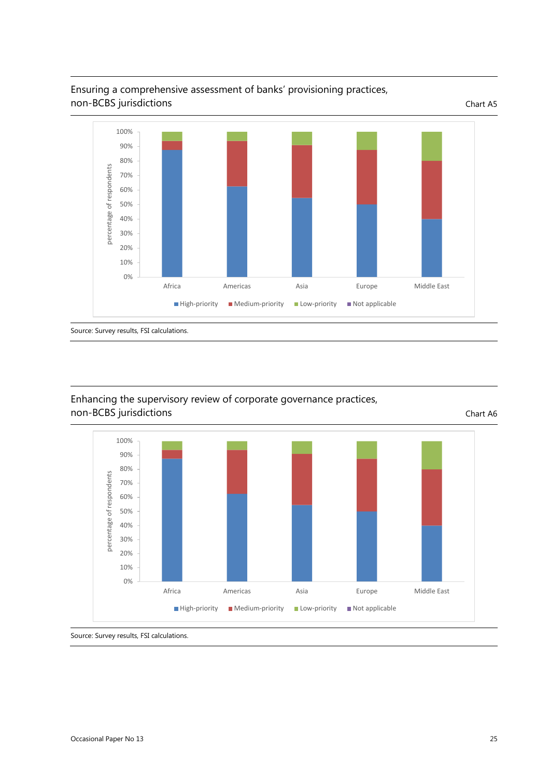



## Enhancing the supervisory review of corporate governance practices, non-BCBS jurisdictions chart A6



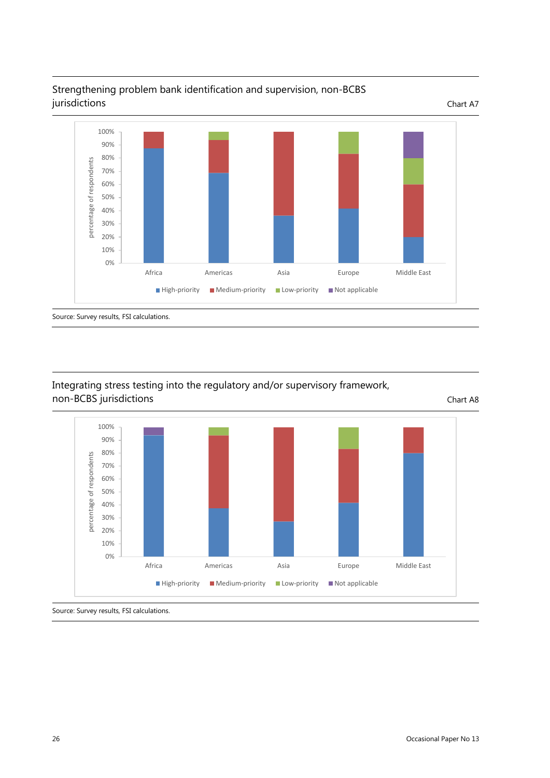

## Strengthening problem bank identification and supervision, non-BCBS jurisdictions Chart A7

## Integrating stress testing into the regulatory and/or supervisory framework, non-BCBS jurisdictions chart A8

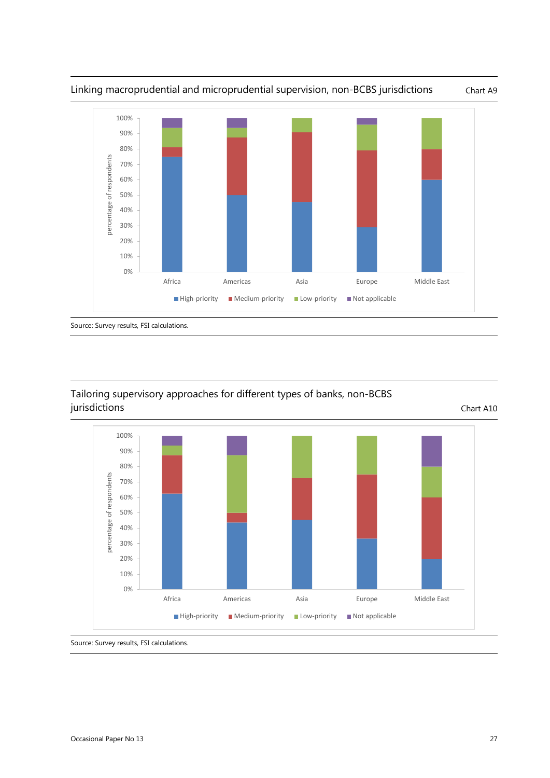

### Tailoring supervisory approaches for different types of banks, non-BCBS jurisdictions Chart A10

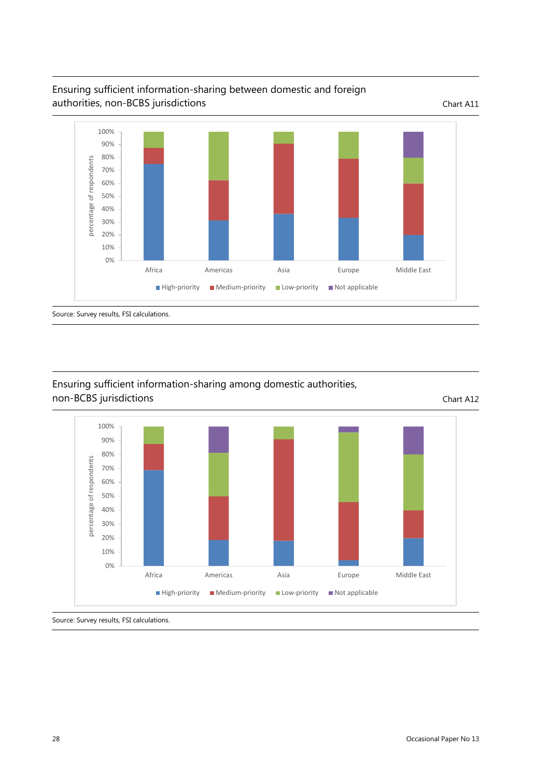

# Ensuring sufficient information-sharing between domestic and foreign